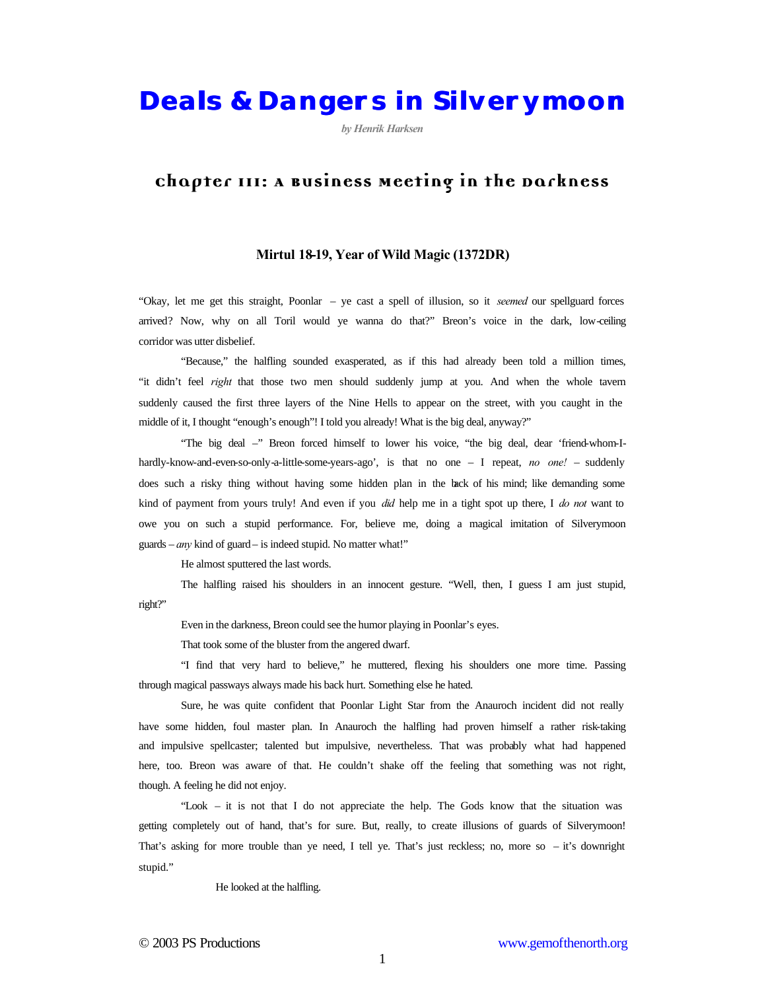**Deals & Dangers in Silverymoon**

*by Henrik Harksen*

## **Chapter III: A Business Meeting in the Darkness**

## **Mirtul 18-19, Year of Wild Magic (1372DR)**

"Okay, let me get this straight, Poonlar – ye cast a spell of illusion, so it *seemed* our spellguard forces arrived? Now, why on all Toril would ye wanna do that?" Breon's voice in the dark, low-ceiling corridor was utter disbelief.

"Because," the halfling sounded exasperated, as if this had already been told a million times, "it didn't feel *right* that those two men should suddenly jump at you. And when the whole tavern suddenly caused the first three layers of the Nine Hells to appear on the street, with you caught in the middle of it, I thought "enough's enough"! I told you already! What is the big deal, anyway?"

"The big deal –" Breon forced himself to lower his voice, "the big deal, dear 'friend-whom-Ihardly-know-and-even-so-only-a-little-some-years-ago', is that no one – I repeat, *no one!* – suddenly does such a risky thing without having some hidden plan in the back of his mind; like demanding some kind of payment from yours truly! And even if you *did* help me in a tight spot up there, I *do not* want to owe you on such a stupid performance. For, believe me, doing a magical imitation of Silverymoon guards – *any* kind of guard – is indeed stupid. No matter what!"

He almost sputtered the last words.

The halfling raised his shoulders in an innocent gesture. "Well, then, I guess I am just stupid, right?"

Even in the darkness, Breon could see the humor playing in Poonlar's eyes.

That took some of the bluster from the angered dwarf.

"I find that very hard to believe," he muttered, flexing his shoulders one more time. Passing through magical passways always made his back hurt. Something else he hated.

Sure, he was quite confident that Poonlar Light Star from the Anauroch incident did not really have some hidden, foul master plan. In Anauroch the halfling had proven himself a rather risk-taking and impulsive spellcaster; talented but impulsive, nevertheless. That was probably what had happened here, too. Breon was aware of that. He couldn't shake off the feeling that something was not right, though. A feeling he did not enjoy.

"Look – it is not that I do not appreciate the help. The Gods know that the situation was getting completely out of hand, that's for sure. But, really, to create illusions of guards of Silverymoon! That's asking for more trouble than ye need, I tell ye. That's just reckless; no, more so – it's downright stupid."

He looked at the halfling.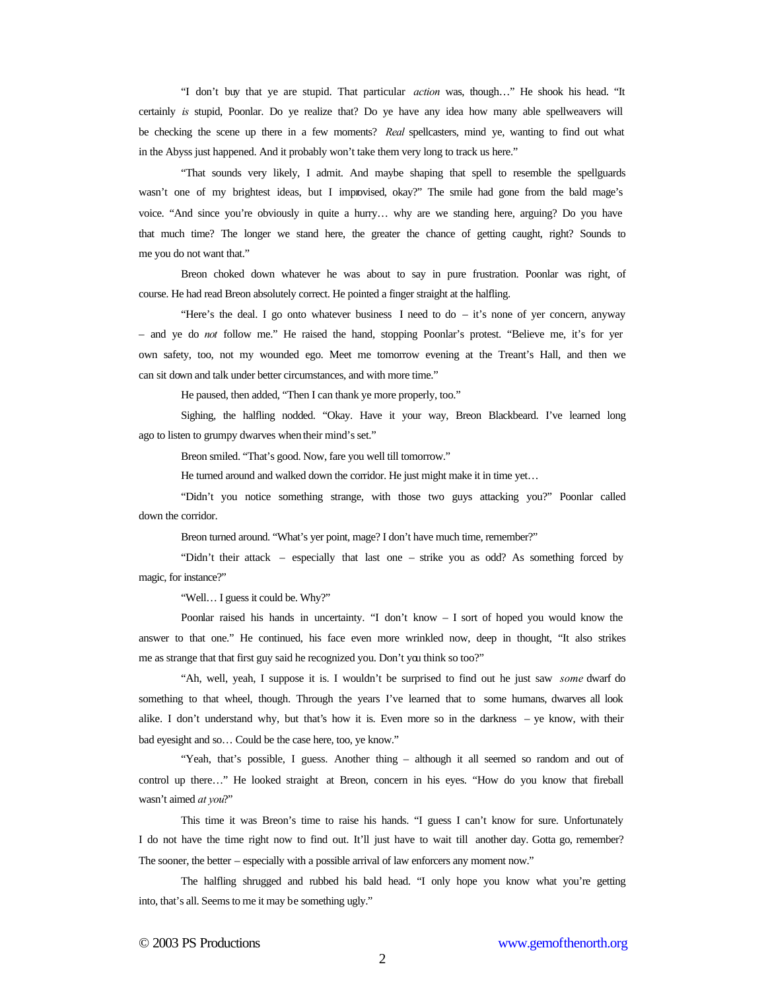"I don't buy that ye are stupid. That particular *action* was, though…" He shook his head. "It certainly *is* stupid, Poonlar. Do ye realize that? Do ye have any idea how many able spellweavers will be checking the scene up there in a few moments? *Real* spellcasters, mind ye, wanting to find out what in the Abyss just happened. And it probably won't take them very long to track us here."

"That sounds very likely, I admit. And maybe shaping that spell to resemble the spellguards wasn't one of my brightest ideas, but I improvised, okay?" The smile had gone from the bald mage's voice. "And since you're obviously in quite a hurry… why are we standing here, arguing? Do you have that much time? The longer we stand here, the greater the chance of getting caught, right? Sounds to me you do not want that."

Breon choked down whatever he was about to say in pure frustration. Poonlar was right, of course. He had read Breon absolutely correct. He pointed a finger straight at the halfling.

"Here's the deal. I go onto whatever business I need to  $d\sigma - it$ 's none of yer concern, anyway – and ye do *not* follow me." He raised the hand, stopping Poonlar's protest. "Believe me, it's for yer own safety, too, not my wounded ego. Meet me tomorrow evening at the Treant's Hall, and then we can sit down and talk under better circumstances, and with more time."

He paused, then added, "Then I can thank ye more properly, too."

Sighing, the halfling nodded. "Okay. Have it your way, Breon Blackbeard. I've learned long ago to listen to grumpy dwarves when their mind's set."

Breon smiled. "That's good. Now, fare you well till tomorrow."

He turned around and walked down the corridor. He just might make it in time yet...

"Didn't you notice something strange, with those two guys attacking you?" Poonlar called down the corridor.

Breon turned around. "What's yer point, mage? I don't have much time, remember?"

"Didn't their attack – especially that last one – strike you as odd? As something forced by magic, for instance?"

"Well… I guess it could be. Why?"

Poonlar raised his hands in uncertainty. "I don't know – I sort of hoped you would know the answer to that one." He continued, his face even more wrinkled now, deep in thought, "It also strikes me as strange that that first guy said he recognized you. Don't you think so too?"

"Ah, well, yeah, I suppose it is. I wouldn't be surprised to find out he just saw *some* dwarf do something to that wheel, though. Through the years I've learned that to some humans, dwarves all look alike. I don't understand why, but that's how it is. Even more so in the darkness – ye know, with their bad eyesight and so… Could be the case here, too, ye know."

"Yeah, that's possible, I guess. Another thing – although it all seemed so random and out of control up there…" He looked straight at Breon, concern in his eyes. "How do you know that fireball wasn't aimed *at you*?"

This time it was Breon's time to raise his hands. "I guess I can't know for sure. Unfortunately I do not have the time right now to find out. It'll just have to wait till another day. Gotta go, remember? The sooner, the better – especially with a possible arrival of law enforcers any moment now."

The halfling shrugged and rubbed his bald head. "I only hope you know what you're getting into, that's all. Seems to me it may be something ugly."

2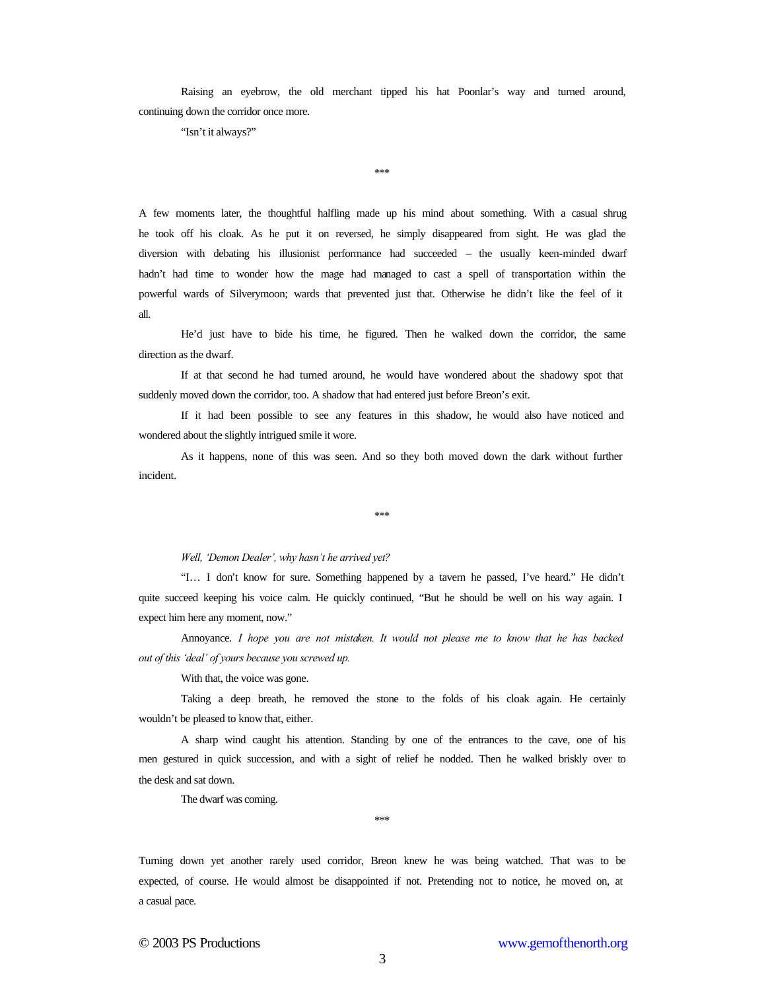Raising an eyebrow, the old merchant tipped his hat Poonlar's way and turned around, continuing down the corridor once more.

"Isn't it always?"

\*\*\*

A few moments later, the thoughtful halfling made up his mind about something. With a casual shrug he took off his cloak. As he put it on reversed, he simply disappeared from sight. He was glad the diversion with debating his illusionist performance had succeeded – the usually keen-minded dwarf hadn't had time to wonder how the mage had managed to cast a spell of transportation within the powerful wards of Silverymoon; wards that prevented just that. Otherwise he didn't like the feel of it all.

He'd just have to bide his time, he figured. Then he walked down the corridor, the same direction as the dwarf.

If at that second he had turned around, he would have wondered about the shadowy spot that suddenly moved down the corridor, too. A shadow that had entered just before Breon's exit.

If it had been possible to see any features in this shadow, he would also have noticed and wondered about the slightly intrigued smile it wore.

As it happens, none of this was seen. And so they both moved down the dark without further incident.

\*\*\*

## *Well, 'Demon Dealer', why hasn't he arrived yet?*

"I… I don't know for sure. Something happened by a tavern he passed, I've heard." He didn't quite succeed keeping his voice calm. He quickly continued, "But he should be well on his way again. I expect him here any moment, now."

Annoyance. *I hope you are not mistaken. It would not please me to know that he has backed out of this 'deal' of yours because you screwed up.*

With that, the voice was gone.

Taking a deep breath, he removed the stone to the folds of his cloak again. He certainly wouldn't be pleased to know that, either.

A sharp wind caught his attention. Standing by one of the entrances to the cave, one of his men gestured in quick succession, and with a sight of relief he nodded. Then he walked briskly over to the desk and sat down.

The dwarf was coming.

\*\*\*

Turning down yet another rarely used corridor, Breon knew he was being watched. That was to be expected, of course. He would almost be disappointed if not. Pretending not to notice, he moved on, at a casual pace.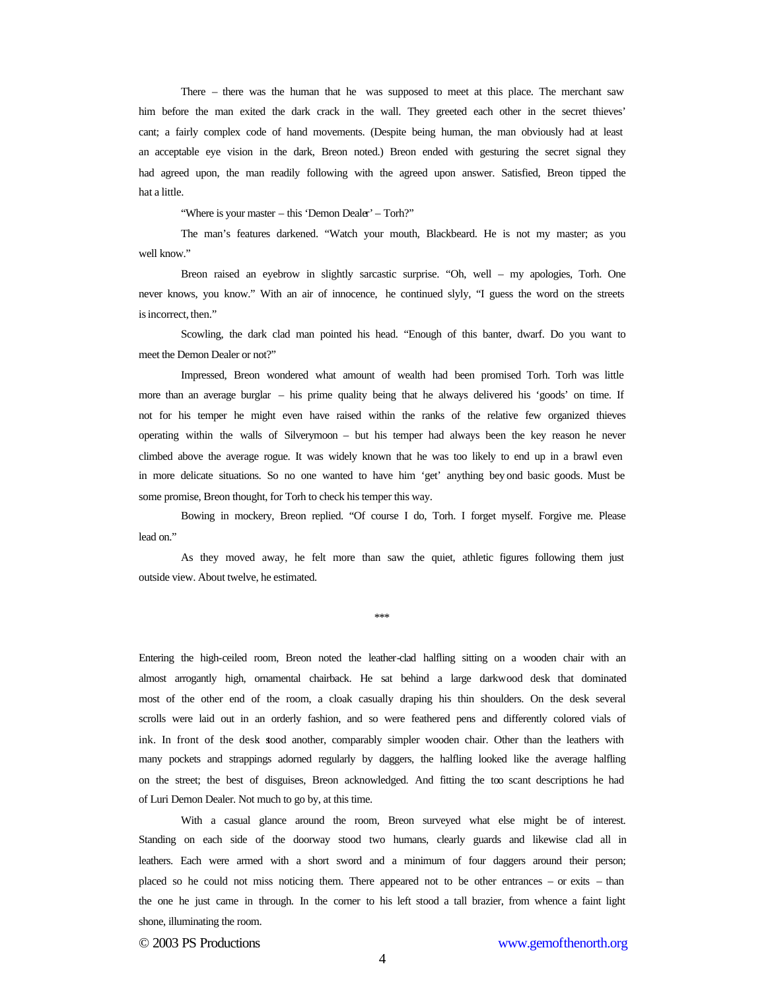There – there was the human that he was supposed to meet at this place. The merchant saw him before the man exited the dark crack in the wall. They greeted each other in the secret thieves' cant; a fairly complex code of hand movements. (Despite being human, the man obviously had at least an acceptable eye vision in the dark, Breon noted.) Breon ended with gesturing the secret signal they had agreed upon, the man readily following with the agreed upon answer. Satisfied, Breon tipped the hat a little.

"Where is your master – this 'Demon Dealer' – Torh?"

The man's features darkened. "Watch your mouth, Blackbeard. He is not my master; as you well know."

Breon raised an eyebrow in slightly sarcastic surprise. "Oh, well – my apologies, Torh. One never knows, you know." With an air of innocence, he continued slyly, "I guess the word on the streets is incorrect, then."

Scowling, the dark clad man pointed his head. "Enough of this banter, dwarf. Do you want to meet the Demon Dealer or not?"

Impressed, Breon wondered what amount of wealth had been promised Torh. Torh was little more than an average burglar – his prime quality being that he always delivered his 'goods' on time. If not for his temper he might even have raised within the ranks of the relative few organized thieves operating within the walls of Silverymoon – but his temper had always been the key reason he never climbed above the average rogue. It was widely known that he was too likely to end up in a brawl even in more delicate situations. So no one wanted to have him 'get' anything bey ond basic goods. Must be some promise, Breon thought, for Torh to check his temper this way.

Bowing in mockery, Breon replied. "Of course I do, Torh. I forget myself. Forgive me. Please lead on."

As they moved away, he felt more than saw the quiet, athletic figures following them just outside view. About twelve, he estimated.

\*\*\*

Entering the high-ceiled room, Breon noted the leather-clad halfling sitting on a wooden chair with an almost arrogantly high, ornamental chairback. He sat behind a large darkwood desk that dominated most of the other end of the room, a cloak casually draping his thin shoulders. On the desk several scrolls were laid out in an orderly fashion, and so were feathered pens and differently colored vials of ink. In front of the desk stood another, comparably simpler wooden chair. Other than the leathers with many pockets and strappings adorned regularly by daggers, the halfling looked like the average halfling on the street; the best of disguises, Breon acknowledged. And fitting the too scant descriptions he had of Luri Demon Dealer. Not much to go by, at this time.

With a casual glance around the room, Breon surveyed what else might be of interest. Standing on each side of the doorway stood two humans, clearly guards and likewise clad all in leathers. Each were armed with a short sword and a minimum of four daggers around their person; placed so he could not miss noticing them. There appeared not to be other entrances – or exits – than the one he just came in through. In the corner to his left stood a tall brazier, from whence a faint light shone, illuminating the room.

© 2003 PS Productions www.gemofthenorth.org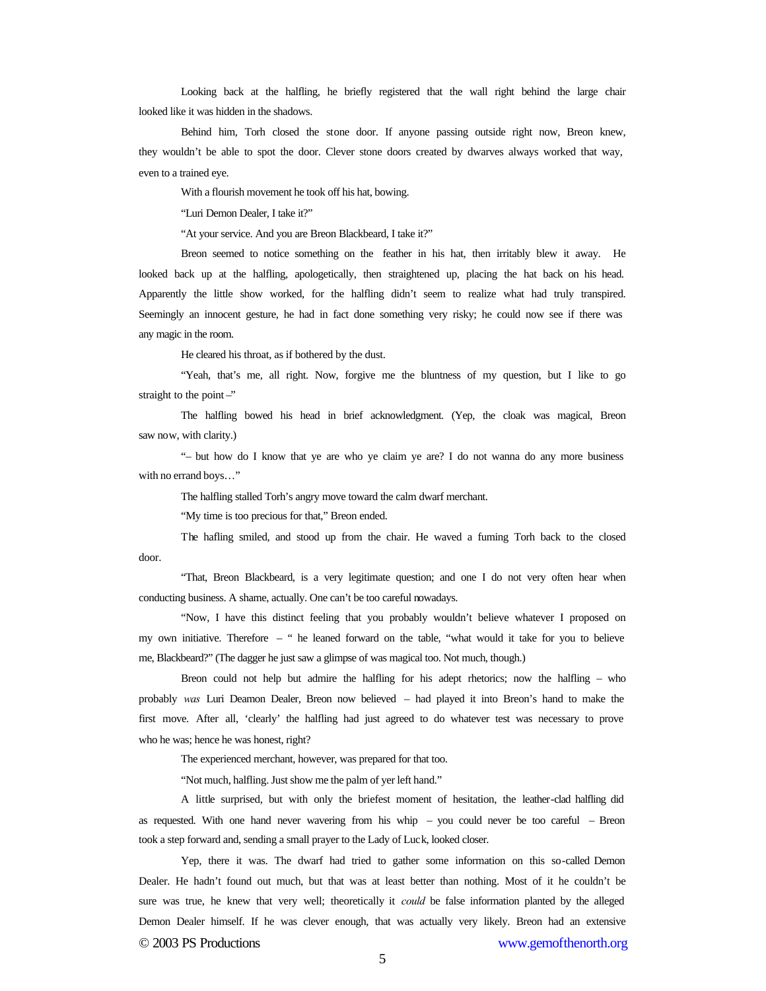Looking back at the halfling, he briefly registered that the wall right behind the large chair looked like it was hidden in the shadows.

Behind him, Torh closed the stone door. If anyone passing outside right now, Breon knew, they wouldn't be able to spot the door. Clever stone doors created by dwarves always worked that way, even to a trained eye.

With a flourish movement he took off his hat, bowing.

"Luri Demon Dealer, I take it?"

"At your service. And you are Breon Blackbeard, I take it?"

Breon seemed to notice something on the feather in his hat, then irritably blew it away. He looked back up at the halfling, apologetically, then straightened up, placing the hat back on his head. Apparently the little show worked, for the halfling didn't seem to realize what had truly transpired. Seemingly an innocent gesture, he had in fact done something very risky; he could now see if there was any magic in the room.

He cleared his throat, as if bothered by the dust.

"Yeah, that's me, all right. Now, forgive me the bluntness of my question, but I like to go straight to the point  $-$ "

The halfling bowed his head in brief acknowledgment. (Yep, the cloak was magical, Breon saw now, with clarity.)

"– but how do I know that ye are who ye claim ye are? I do not wanna do any more business with no errand boys…"

The halfling stalled Torh's angry move toward the calm dwarf merchant.

"My time is too precious for that," Breon ended.

The hafling smiled, and stood up from the chair. He waved a fuming Torh back to the closed door.

"That, Breon Blackbeard, is a very legitimate question; and one I do not very often hear when conducting business. A shame, actually. One can't be too careful nowadays.

"Now, I have this distinct feeling that you probably wouldn't believe whatever I proposed on my own initiative. Therefore – " he leaned forward on the table, "what would it take for you to believe me, Blackbeard?" (The dagger he just saw a glimpse of was magical too. Not much, though.)

Breon could not help but admire the halfling for his adept rhetorics; now the halfling – who probably *was* Luri Deamon Dealer, Breon now believed – had played it into Breon's hand to make the first move. After all, 'clearly' the halfling had just agreed to do whatever test was necessary to prove who he was; hence he was honest, right?

The experienced merchant, however, was prepared for that too.

"Not much, halfling. Just show me the palm of yer left hand."

A little surprised, but with only the briefest moment of hesitation, the leather-clad halfling did as requested. With one hand never wavering from his whip – you could never be too careful – Breon took a step forward and, sending a small prayer to the Lady of Luck, looked closer.

© 2003 PS Productions www.gemofthenorth.org Yep, there it was. The dwarf had tried to gather some information on this so-called Demon Dealer. He hadn't found out much, but that was at least better than nothing. Most of it he couldn't be sure was true, he knew that very well; theoretically it *could* be false information planted by the alleged Demon Dealer himself. If he was clever enough, that was actually very likely. Breon had an extensive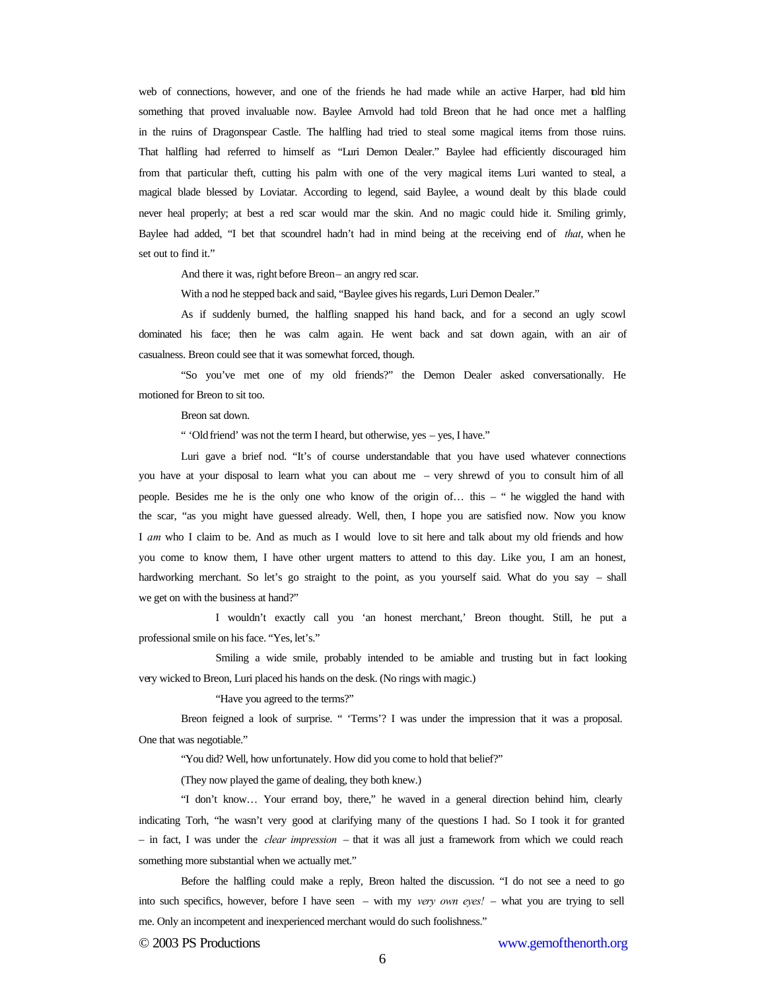web of connections, however, and one of the friends he had made while an active Harper, had told him something that proved invaluable now. Baylee Arnvold had told Breon that he had once met a halfling in the ruins of Dragonspear Castle. The halfling had tried to steal some magical items from those ruins. That halfling had referred to himself as "Luri Demon Dealer." Baylee had efficiently discouraged him from that particular theft, cutting his palm with one of the very magical items Luri wanted to steal, a magical blade blessed by Loviatar. According to legend, said Baylee, a wound dealt by this blade could never heal properly; at best a red scar would mar the skin. And no magic could hide it. Smiling grimly, Baylee had added, "I bet that scoundrel hadn't had in mind being at the receiving end of *that*, when he set out to find it."

And there it was, right before Breon – an angry red scar.

With a nod he stepped back and said, "Baylee gives his regards, Luri Demon Dealer."

As if suddenly burned, the halfling snapped his hand back, and for a second an ugly scowl dominated his face; then he was calm again. He went back and sat down again, with an air of casualness. Breon could see that it was somewhat forced, though.

"So you've met one of my old friends?" the Demon Dealer asked conversationally. He motioned for Breon to sit too.

Breon sat down.

" 'Old friend' was not the term I heard, but otherwise, yes – yes, I have."

Luri gave a brief nod. "It's of course understandable that you have used whatever connections you have at your disposal to learn what you can about me – very shrewd of you to consult him of all people. Besides me he is the only one who know of the origin of… this – " he wiggled the hand with the scar, "as you might have guessed already. Well, then, I hope you are satisfied now. Now you know I *am* who I claim to be. And as much as I would love to sit here and talk about my old friends and how you come to know them, I have other urgent matters to attend to this day. Like you, I am an honest, hardworking merchant. So let's go straight to the point, as you yourself said. What do you say – shall we get on with the business at hand?"

I wouldn't exactly call you 'an honest merchant,' Breon thought. Still, he put a professional smile on his face. "Yes, let's."

Smiling a wide smile, probably intended to be amiable and trusting but in fact looking very wicked to Breon, Luri placed his hands on the desk. (No rings with magic.)

"Have you agreed to the terms?"

Breon feigned a look of surprise. " 'Terms'? I was under the impression that it was a proposal. One that was negotiable."

"You did? Well, how unfortunately. How did you come to hold that belief?"

(They now played the game of dealing, they both knew.)

"I don't know… Your errand boy, there," he waved in a general direction behind him, clearly indicating Torh, "he wasn't very good at clarifying many of the questions I had. So I took it for granted – in fact, I was under the *clear impression* – that it was all just a framework from which we could reach something more substantial when we actually met."

Before the halfling could make a reply, Breon halted the discussion. "I do not see a need to go into such specifics, however, before I have seen – with my *very own eyes!* – what you are trying to sell me. Only an incompetent and inexperienced merchant would do such foolishness."

© 2003 PS Productions www.gemofthenorth.org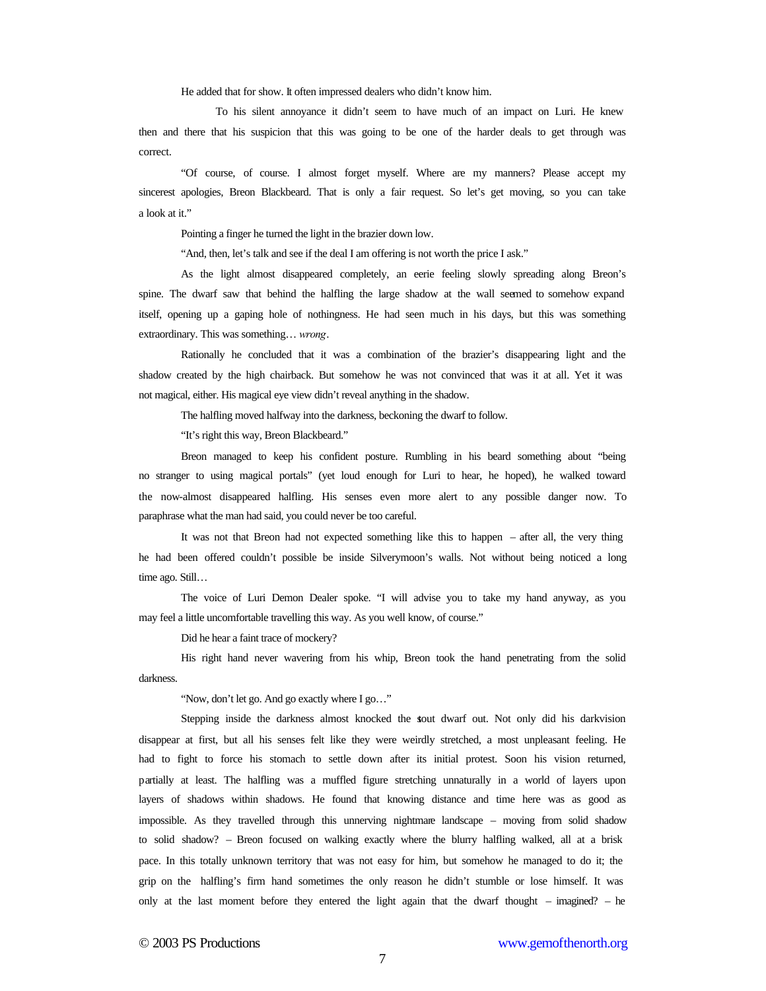He added that for show. It often impressed dealers who didn't know him.

To his silent annoyance it didn't seem to have much of an impact on Luri. He knew then and there that his suspicion that this was going to be one of the harder deals to get through was correct.

"Of course, of course. I almost forget myself. Where are my manners? Please accept my sincerest apologies, Breon Blackbeard. That is only a fair request. So let's get moving, so you can take a look at it."

Pointing a finger he turned the light in the brazier down low.

"And, then, let's talk and see if the deal I am offering is not worth the price I ask."

As the light almost disappeared completely, an eerie feeling slowly spreading along Breon's spine. The dwarf saw that behind the halfling the large shadow at the wall seemed to somehow expand itself, opening up a gaping hole of nothingness. He had seen much in his days, but this was something extraordinary. This was something… *wrong*.

Rationally he concluded that it was a combination of the brazier's disappearing light and the shadow created by the high chairback. But somehow he was not convinced that was it at all. Yet it was not magical, either. His magical eye view didn't reveal anything in the shadow.

The halfling moved halfway into the darkness, beckoning the dwarf to follow.

"It's right this way, Breon Blackbeard."

Breon managed to keep his confident posture. Rumbling in his beard something about "being no stranger to using magical portals" (yet loud enough for Luri to hear, he hoped), he walked toward the now-almost disappeared halfling. His senses even more alert to any possible danger now. To paraphrase what the man had said, you could never be too careful.

It was not that Breon had not expected something like this to happen – after all, the very thing he had been offered couldn't possible be inside Silverymoon's walls. Not without being noticed a long time ago. Still...

The voice of Luri Demon Dealer spoke. "I will advise you to take my hand anyway, as you may feel a little uncomfortable travelling this way. As you well know, of course."

Did he hear a faint trace of mockery?

His right hand never wavering from his whip, Breon took the hand penetrating from the solid darkness.

"Now, don't let go. And go exactly where I go…"

Stepping inside the darkness almost knocked the sout dwarf out. Not only did his darkvision disappear at first, but all his senses felt like they were weirdly stretched, a most unpleasant feeling. He had to fight to force his stomach to settle down after its initial protest. Soon his vision returned, partially at least. The halfling was a muffled figure stretching unnaturally in a world of layers upon layers of shadows within shadows. He found that knowing distance and time here was as good as impossible. As they travelled through this unnerving nightmare landscape – moving from solid shadow to solid shadow? – Breon focused on walking exactly where the blurry halfling walked, all at a brisk pace. In this totally unknown territory that was not easy for him, but somehow he managed to do it; the grip on the halfling's firm hand sometimes the only reason he didn't stumble or lose himself. It was only at the last moment before they entered the light again that the dwarf thought – imagined? – he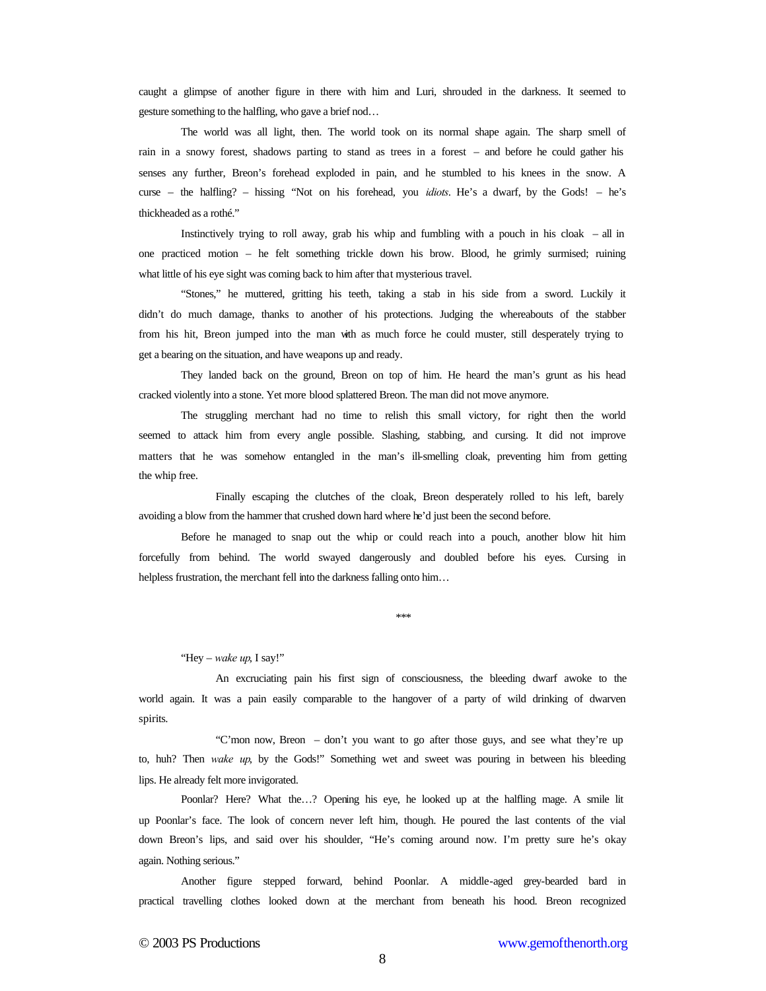caught a glimpse of another figure in there with him and Luri, shrouded in the darkness. It seemed to gesture something to the halfling, who gave a brief nod…

The world was all light, then. The world took on its normal shape again. The sharp smell of rain in a snowy forest, shadows parting to stand as trees in a forest – and before he could gather his senses any further, Breon's forehead exploded in pain, and he stumbled to his knees in the snow. A curse – the halfling? – hissing "Not on his forehead, you *idiots*. He's a dwarf, by the Gods! – he's thickheaded as a rothé."

Instinctively trying to roll away, grab his whip and fumbling with a pouch in his cloak – all in one practiced motion – he felt something trickle down his brow. Blood, he grimly surmised; ruining what little of his eye sight was coming back to him after that mysterious travel.

"Stones," he muttered, gritting his teeth, taking a stab in his side from a sword. Luckily it didn't do much damage, thanks to another of his protections. Judging the whereabouts of the stabber from his hit, Breon jumped into the man with as much force he could muster, still desperately trying to get a bearing on the situation, and have weapons up and ready.

They landed back on the ground, Breon on top of him. He heard the man's grunt as his head cracked violently into a stone. Yet more blood splattered Breon. The man did not move anymore.

The struggling merchant had no time to relish this small victory, for right then the world seemed to attack him from every angle possible. Slashing, stabbing, and cursing. It did not improve matters that he was somehow entangled in the man's ill-smelling cloak, preventing him from getting the whip free.

Finally escaping the clutches of the cloak, Breon desperately rolled to his left, barely avoiding a blow from the hammer that crushed down hard where he'd just been the second before.

Before he managed to snap out the whip or could reach into a pouch, another blow hit him forcefully from behind. The world swayed dangerously and doubled before his eyes. Cursing in helpless frustration, the merchant fell into the darkness falling onto him...

\*\*\*

"Hey – *wake up*, I say!"

An excruciating pain his first sign of consciousness, the bleeding dwarf awoke to the world again. It was a pain easily comparable to the hangover of a party of wild drinking of dwarven spirits.

"C'mon now, Breon – don't you want to go after those guys, and see what they're up to, huh? Then *wake up*, by the Gods!" Something wet and sweet was pouring in between his bleeding lips. He already felt more invigorated.

Poonlar? Here? What the…? Opening his eye, he looked up at the halfling mage. A smile lit up Poonlar's face. The look of concern never left him, though. He poured the last contents of the vial down Breon's lips, and said over his shoulder, "He's coming around now. I'm pretty sure he's okay again. Nothing serious."

Another figure stepped forward, behind Poonlar. A middle-aged grey-bearded bard in practical travelling clothes looked down at the merchant from beneath his hood. Breon recognized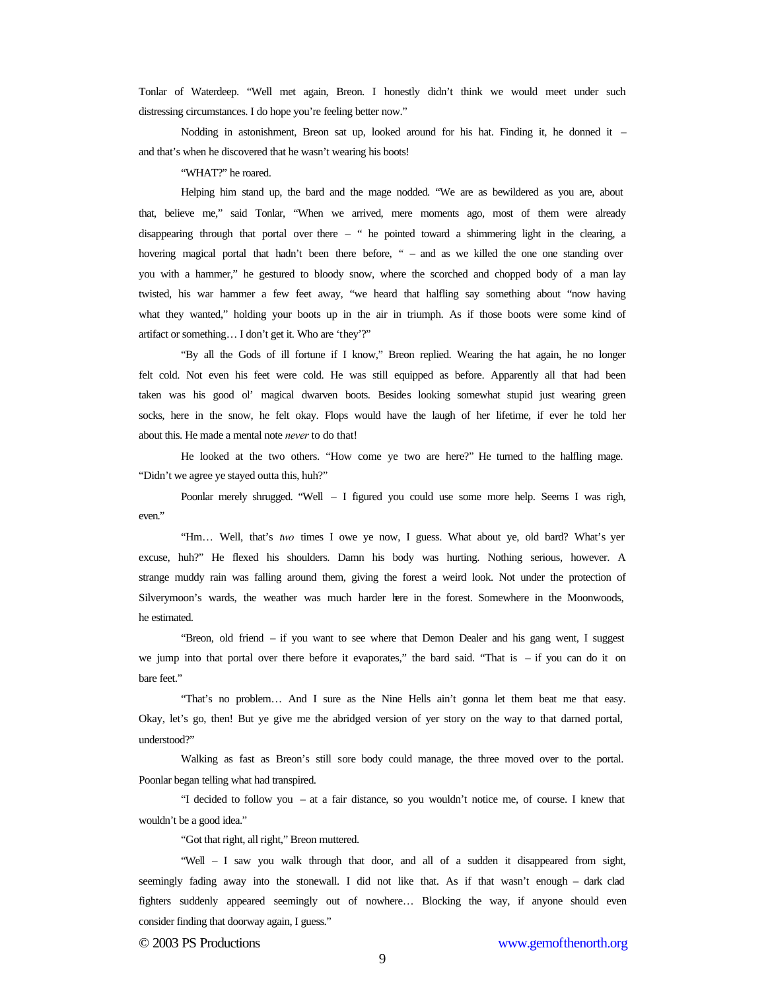Tonlar of Waterdeep. "Well met again, Breon. I honestly didn't think we would meet under such distressing circumstances. I do hope you're feeling better now."

Nodding in astonishment, Breon sat up, looked around for his hat. Finding it, he donned it – and that's when he discovered that he wasn't wearing his boots!

"WHAT?" he roared.

Helping him stand up, the bard and the mage nodded. "We are as bewildered as you are, about that, believe me," said Tonlar, "When we arrived, mere moments ago, most of them were already disappearing through that portal over there – " he pointed toward a shimmering light in the clearing, a hovering magical portal that hadn't been there before, " – and as we killed the one one standing over you with a hammer," he gestured to bloody snow, where the scorched and chopped body of a man lay twisted, his war hammer a few feet away, "we heard that halfling say something about "now having what they wanted," holding your boots up in the air in triumph. As if those boots were some kind of artifact or something… I don't get it. Who are 'they'?"

"By all the Gods of ill fortune if I know," Breon replied. Wearing the hat again, he no longer felt cold. Not even his feet were cold. He was still equipped as before. Apparently all that had been taken was his good ol' magical dwarven boots. Besides looking somewhat stupid just wearing green socks, here in the snow, he felt okay. Flops would have the laugh of her lifetime, if ever he told her about this. He made a mental note *never* to do that!

He looked at the two others. "How come ye two are here?" He turned to the halfling mage. "Didn't we agree ye stayed outta this, huh?"

Poonlar merely shrugged. "Well – I figured you could use some more help. Seems I was righ, even."

"Hm… Well, that's *two* times I owe ye now, I guess. What about ye, old bard? What's yer excuse, huh?" He flexed his shoulders. Damn his body was hurting. Nothing serious, however. A strange muddy rain was falling around them, giving the forest a weird look. Not under the protection of Silverymoon's wards, the weather was much harder here in the forest. Somewhere in the Moonwoods, he estimated.

"Breon, old friend – if you want to see where that Demon Dealer and his gang went, I suggest we jump into that portal over there before it evaporates," the bard said. "That is – if you can do it on bare feet."

"That's no problem… And I sure as the Nine Hells ain't gonna let them beat me that easy. Okay, let's go, then! But ye give me the abridged version of yer story on the way to that darned portal, understood?"

Walking as fast as Breon's still sore body could manage, the three moved over to the portal. Poonlar began telling what had transpired.

"I decided to follow you – at a fair distance, so you wouldn't notice me, of course. I knew that wouldn't be a good idea."

"Got that right, all right," Breon muttered.

"Well – I saw you walk through that door, and all of a sudden it disappeared from sight, seemingly fading away into the stonewall. I did not like that. As if that wasn't enough – dark clad fighters suddenly appeared seemingly out of nowhere… Blocking the way, if anyone should even consider finding that doorway again, I guess."

© 2003 PS Productions www.gemofthenorth.org